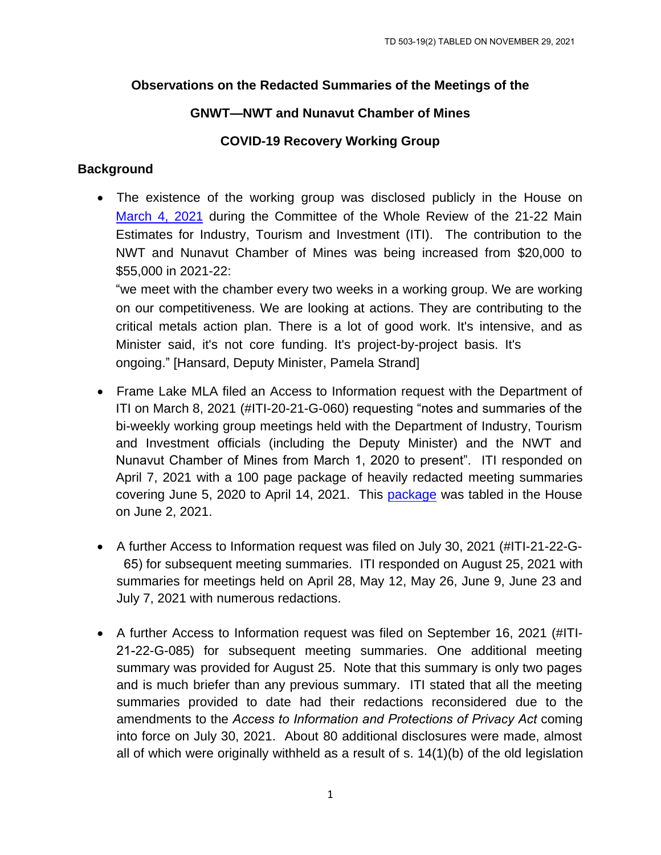## **Observations on the Redacted Summaries of the Meetings of the**

# **GNWT—NWT and Nunavut Chamber of Mines**

## **COVID-19 Recovery Working Group**

# **Background**

 The existence of the working group was disclosed publicly in the House on [March 4, 2021](https://www.ntassembly.ca/sites/assembly/files/hn210304.pdf) during the Committee of the Whole Review of the 21-22 Main Estimates for Industry, Tourism and Investment (ITI). The contribution to the NWT and Nunavut Chamber of Mines was being increased from \$20,000 to \$55,000 in 2021-22:

"we meet with the chamber every two weeks in a working group. We are working on our competitiveness. We are looking at actions. They are contributing to the critical metals action plan. There is a lot of good work. It's intensive, and as Minister said, it's not core funding. It's project-by-project basis. It's ongoing." [Hansard, Deputy Minister, Pamela Strand]

- Frame Lake MLA filed an Access to Information request with the Department of ITI on March 8, 2021 (#ITI-20-21-G-060) requesting "notes and summaries of the bi-weekly working group meetings held with the Department of Industry, Tourism and Investment officials (including the Deputy Minister) and the NWT and Nunavut Chamber of Mines from March 1, 2020 to present". ITI responded on April 7, 2021 with a 100 page package of heavily redacted meeting summaries covering June 5, 2020 to April 14, 2021. This [package](https://www.ntassembly.ca/sites/assembly/files/td_426-192.pdf) was tabled in the House on June 2, 2021.
- A further Access to Information request was filed on July 30, 2021 (#ITI-21-22-G-65) for subsequent meeting summaries. ITI responded on August 25, 2021 with summaries for meetings held on April 28, May 12, May 26, June 9, June 23 and July 7, 2021 with numerous redactions.
- A further Access to Information request was filed on September 16, 2021 (#ITI-21-22-G-085) for subsequent meeting summaries. One additional meeting summary was provided for August 25. Note that this summary is only two pages and is much briefer than any previous summary. ITI stated that all the meeting summaries provided to date had their redactions reconsidered due to the amendments to the *Access to Information and Protections of Privacy Act* coming into force on July 30, 2021. About 80 additional disclosures were made, almost all of which were originally withheld as a result of s. 14(1)(b) of the old legislation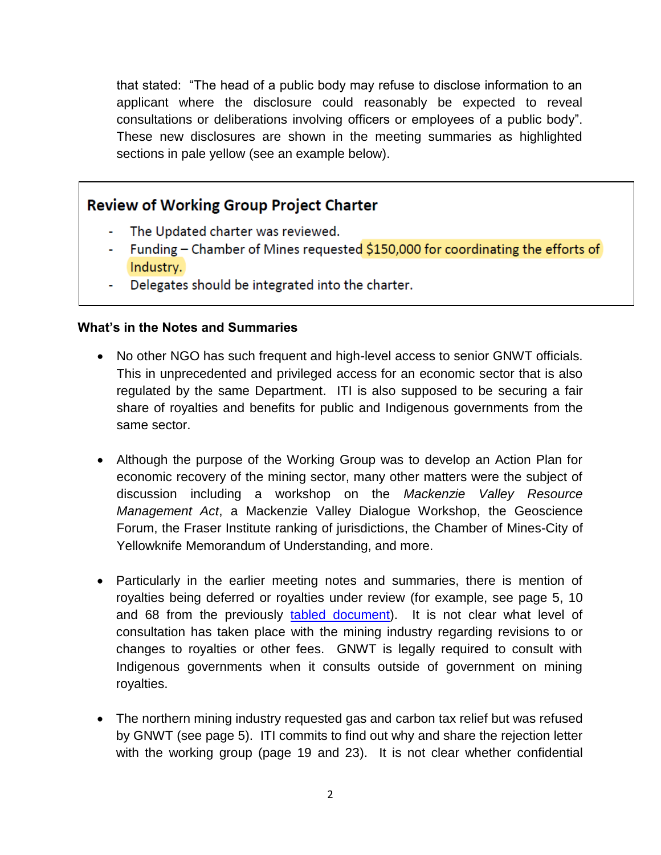that stated: "The head of a public body may refuse to disclose information to an applicant where the disclosure could reasonably be expected to reveal consultations or deliberations involving officers or employees of a public body". These new disclosures are shown in the meeting summaries as highlighted sections in pale yellow (see an example below).

# **Review of Working Group Project Charter**

- The Updated charter was reviewed.
- Funding Chamber of Mines requested \$150,000 for coordinating the efforts of Industry.
- Delegates should be integrated into the charter.

#### **What's in the Notes and Summaries**

- No other NGO has such frequent and high-level access to senior GNWT officials. This in unprecedented and privileged access for an economic sector that is also regulated by the same Department. ITI is also supposed to be securing a fair share of royalties and benefits for public and Indigenous governments from the same sector.
- Although the purpose of the Working Group was to develop an Action Plan for economic recovery of the mining sector, many other matters were the subject of discussion including a workshop on the *Mackenzie Valley Resource Management Act*, a Mackenzie Valley Dialogue Workshop, the Geoscience Forum, the Fraser Institute ranking of jurisdictions, the Chamber of Mines-City of Yellowknife Memorandum of Understanding, and more.
- Particularly in the earlier meeting notes and summaries, there is mention of royalties being deferred or royalties under review (for example, see page 5, 10 and 68 from the previously [tabled document\)](https://www.ntassembly.ca/sites/assembly/files/td_426-192.pdf). It is not clear what level of consultation has taken place with the mining industry regarding revisions to or changes to royalties or other fees. GNWT is legally required to consult with Indigenous governments when it consults outside of government on mining royalties.
- The northern mining industry requested gas and carbon tax relief but was refused by GNWT (see page 5). ITI commits to find out why and share the rejection letter with the working group (page 19 and 23). It is not clear whether confidential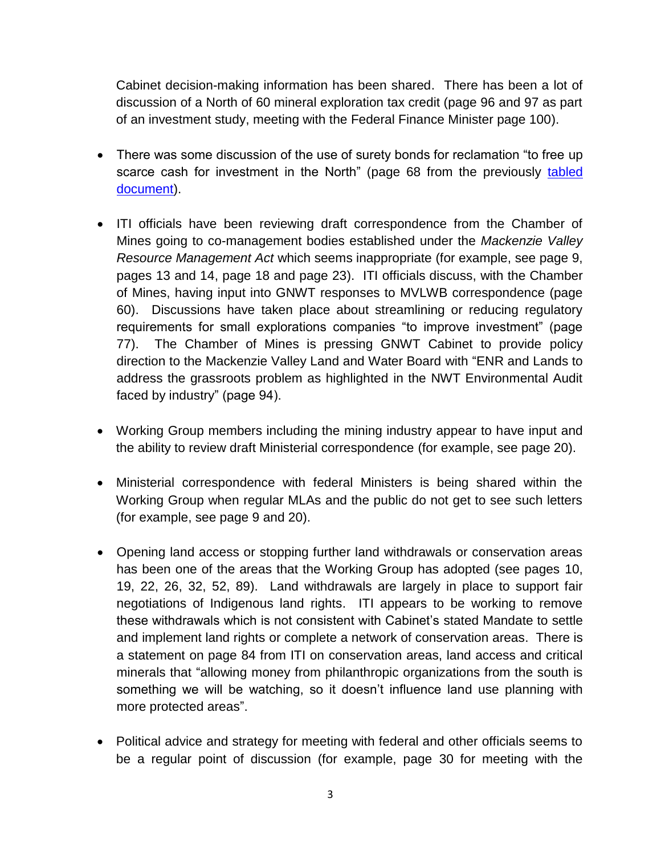Cabinet decision-making information has been shared. There has been a lot of discussion of a North of 60 mineral exploration tax credit (page 96 and 97 as part of an investment study, meeting with the Federal Finance Minister page 100).

- There was some discussion of the use of surety bonds for reclamation "to free up scarce cash for investment in the North" (page 68 from the previously tabled [document\)](https://www.ntassembly.ca/sites/assembly/files/td_426-192.pdf).
- ITI officials have been reviewing draft correspondence from the Chamber of Mines going to co-management bodies established under the *Mackenzie Valley Resource Management Act* which seems inappropriate (for example, see page 9, pages 13 and 14, page 18 and page 23). ITI officials discuss, with the Chamber of Mines, having input into GNWT responses to MVLWB correspondence (page 60). Discussions have taken place about streamlining or reducing regulatory requirements for small explorations companies "to improve investment" (page 77). The Chamber of Mines is pressing GNWT Cabinet to provide policy direction to the Mackenzie Valley Land and Water Board with "ENR and Lands to address the grassroots problem as highlighted in the NWT Environmental Audit faced by industry" (page 94).
- Working Group members including the mining industry appear to have input and the ability to review draft Ministerial correspondence (for example, see page 20).
- Ministerial correspondence with federal Ministers is being shared within the Working Group when regular MLAs and the public do not get to see such letters (for example, see page 9 and 20).
- Opening land access or stopping further land withdrawals or conservation areas has been one of the areas that the Working Group has adopted (see pages 10, 19, 22, 26, 32, 52, 89). Land withdrawals are largely in place to support fair negotiations of Indigenous land rights. ITI appears to be working to remove these withdrawals which is not consistent with Cabinet's stated Mandate to settle and implement land rights or complete a network of conservation areas. There is a statement on page 84 from ITI on conservation areas, land access and critical minerals that "allowing money from philanthropic organizations from the south is something we will be watching, so it doesn't influence land use planning with more protected areas".
- Political advice and strategy for meeting with federal and other officials seems to be a regular point of discussion (for example, page 30 for meeting with the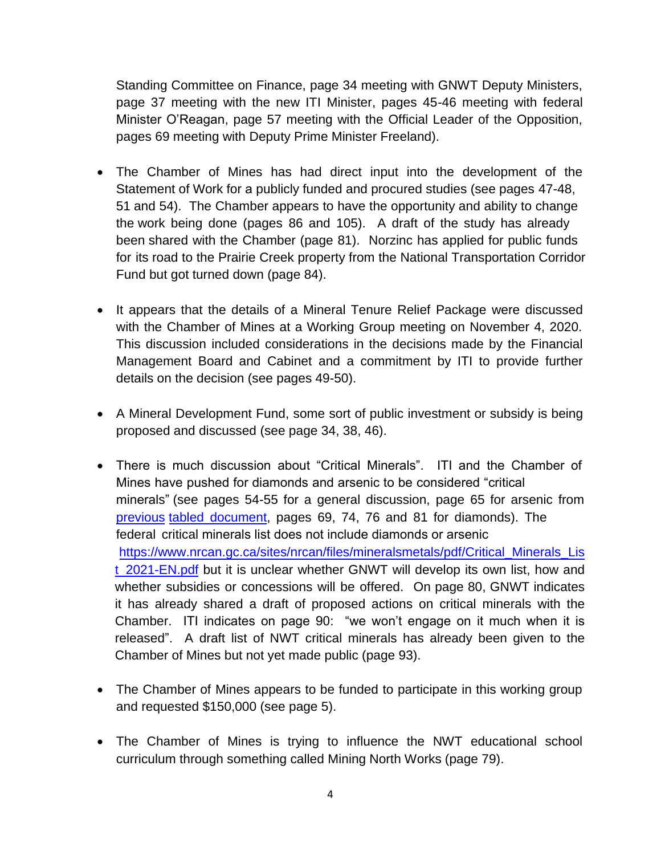Standing Committee on Finance, page 34 meeting with GNWT Deputy Ministers, page 37 meeting with the new ITI Minister, pages 45-46 meeting with federal Minister O'Reagan, page 57 meeting with the Official Leader of the Opposition, pages 69 meeting with Deputy Prime Minister Freeland).

- The Chamber of Mines has had direct input into the development of the Statement of Work for a publicly funded and procured studies (see pages 47-48, 51 and 54). The Chamber appears to have the opportunity and ability to change the work being done (pages 86 and 105). A draft of the study has already been shared with the Chamber (page 81). Norzinc has applied for public funds for its road to the Prairie Creek property from the National Transportation Corridor Fund but got turned down (page 84).
- It appears that the details of a Mineral Tenure Relief Package were discussed with the Chamber of Mines at a Working Group meeting on November 4, 2020. This discussion included considerations in the decisions made by the Financial Management Board and Cabinet and a commitment by ITI to provide further details on the decision (see pages 49-50).
- A Mineral Development Fund, some sort of public investment or subsidy is being proposed and discussed (see page 34, 38, 46).
- There is much discussion about "Critical Minerals". ITI and the Chamber of Mines have pushed for diamonds and arsenic to be considered "critical minerals" (see pages 54-55 for a general discussion, page 65 for ars[enic from](https://www.ntassembly.ca/sites/assembly/files/td_426-192.pdf)  [previous](https://www.ntassembly.ca/sites/assembly/files/td_426-192.pdf) tabled document, pages 69, 74, 76 and 81 for diamonds). The federal critical minerals list does not include diamonds or arsenic [https://www.nrcan.gc.ca/sites/nrcan/files/mineralsmetals/pdf/Critical\\_Minerals\\_Lis](https://www.nrcan.gc.ca/sites/nrcan/files/mineralsmetals/pdf/Critical_Minerals_List_2021-EN.pdf) [t\\_2021-EN.pdf](https://www.nrcan.gc.ca/sites/nrcan/files/mineralsmetals/pdf/Critical_Minerals_List_2021-EN.pdf) but it is unclear whether GNWT will develop its own list, how and whether subsidies or concessions will be offered. On page 80, GNWT indicates it has already shared a draft of proposed actions on critical minerals with the Chamber. ITI indicates on page 90: "we won't engage on it much when it is released". A draft list of NWT critical minerals has already been given to the Chamber of Mines but not yet made public (page 93).
- The Chamber of Mines appears to be funded to participate in this working group and requested \$150,000 (see page 5).
- The Chamber of Mines is trying to influence the NWT educational school curriculum through something called Mining North Works (page 79).